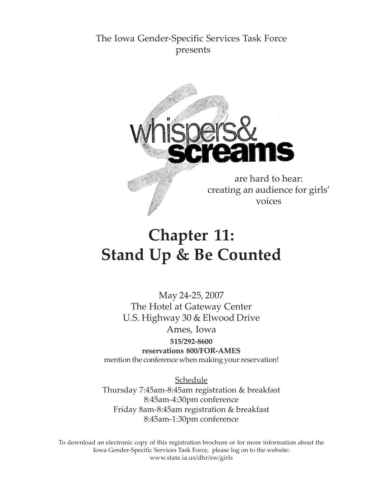# The Iowa Gender-Specific Services Task Force presents



# **Chapter 11: Stand Up & Be Counted**

May 24-25, 2007 The Hotel at Gateway Center U.S. Highway 30 & Elwood Drive Ames, Iowa

**515/292-8600 reservations 800/FOR-AMES** mention the conference when making your reservation!

**Schedule** Thursday 7:45am-8:45am registration & breakfast 8:45am-4:30pm conference Friday 8am-8:45am registration & breakfast 8:45am-1:30pm conference

To download an electronic copy of this registration brochure or for more information about the Iowa Gender-Specific Services Task Force, please log on to the website: www.state.ia.us/dhr/sw/girls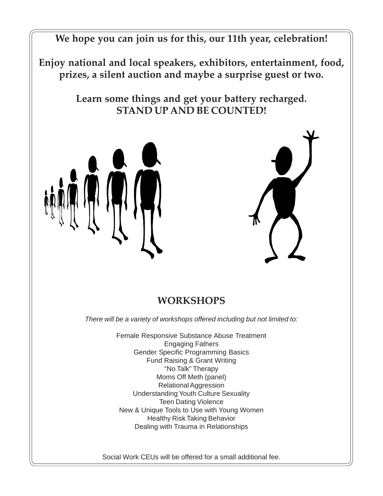**We hope you can join us for this, our 11th year, celebration!**

**Enjoy national and local speakers, exhibitors, entertainment, food, prizes, a silent auction and maybe a surprise guest or two.**

> **Learn some things and get your battery recharged. STAND UP AND BE COUNTED!**





# **WORKSHOPS**

*There will be a variety of workshops offered including but not limited to:*

Female Responsive Substance Abuse Treatment Engaging Fathers Gender Specific Programming Basics Fund Raising & Grant Writing "No Talk" Therapy Moms Off Meth (panel) Relational Aggression Understanding Youth Culture Sexuality Teen Dating Violence New & Unique Tools to Use with Young Women Healthy Risk Taking Behavior Dealing with Trauma in Relationships

Social Work CEUs will be offered for a small additional fee.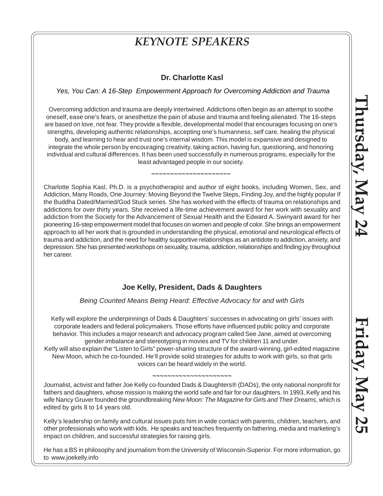# *KEYNOTE SPEAKERS*

### **Dr. Charlotte Kasl**

### *Yes, You Can: A 16-Step Empowerment Approach for Overcoming Addiction and Trauma*

Overcoming addiction and trauma are deeply intertwined. Addictions often begin as an attempt to soothe oneself, ease one's fears, or anesthetize the pain of abuse and trauma and feeling alienated. The 16-steps are based on love, not fear. They provide a flexible, developmental model that encourages focusing on one's strengths, developing authentic relationships, accepting one's humanness, self care, healing the physical body, and learning to hear and trust one's internal wisdom. This model is expansive and designed to integrate the whole person by encouraging creativity, taking action, having fun, questioning, and honoring individual and cultural differences. It has been used successfully in numerous programs, especially for the least advantaged people in our society.

**~~~~~~~~~~~~~~~~~~~~~**

Charlotte Sophia Kasl, Ph.D. is a psychotherapist and author of eight books, including Women, Sex, and Addiction, Many Roads, One Journey: Moving Beyond the Twelve Steps, Finding Joy, and the highly popular If the Buddha Dated/Married/God Stuck series. She has worked with the effects of trauma on relationships and addictions for over thirty years. She received a life-time achievement award for her work with sexuality and addiction from the Society for the Advancement of Sexual Health and the Edward A. Swinyard award for her pioneering 16-step empowerment model that focuses on women and people of color. She brings an empowerment approach to all her work that is grounded in understanding the physical, emotional and neurological effects of trauma and addiction, and the need for healthy supportive relationships as an antidote to addiction, anxiety, and depression. She has presented workshops on sexuality, trauma, addiction, relationships and finding joy throughout her career.

## **Joe Kelly, President, Dads & Daughters**

### *Being Counted Means Being Heard: Effective Advocacy for and with Girls*

Kelly will explore the underpinnings of Dads & Daughters' successes in advocating on girls' issues with corporate leaders and federal policymakers. Those efforts have influenced public policy and corporate behavior. This includes a major research and advocacy program called See Jane, aimed at overcoming gender imbalance and stereotyping in movies and TV for children 11 and under.

Kelly will also explain the "Listen to Girls" power-sharing structure of the award-winning, girl-edited magazine New Moon, which he co-founded. He'll provide solid strategies for adults to work with girls, so that girls voices can be heard widely in the world.

#### **~~~~~~~~~~~~~~~~~~~~~**

Journalist, activist and father Joe Kelly co-founded Dads & Daughters® (DADs), the only national nonprofit for fathers and daughters, whose mission is making the world safe and fair for our daughters. In 1993, Kelly and his wife Nancy Gruver founded the groundbreaking *New Moon: The Magazine for Girls and Their Dreams*, which is edited by girls 8 to 14 years old.

Kelly's leadership on family and cultural issues puts him in wide contact with parents, children, teachers, and other professionals who work with kids. He speaks and teaches frequently on fathering, media and marketing's impact on children, and successful strategies for raising girls.

He has a BS in philosophy and journalism from the University of Wisconsin-Superior. For more information, go to www.joekelly.info

**Friday, May 25** Friday, May 25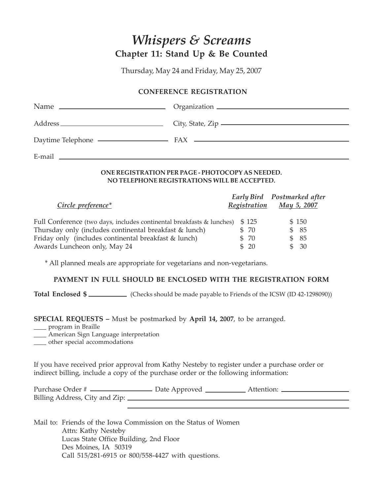# *Whispers & Screams* **Chapter 11: Stand Up & Be Counted**

Thursday, May 24 and Friday, May 25, 2007

### **CONFERENCE REGISTRATION**

|        | City, State, Zip $\frac{1}{2}$ |
|--------|--------------------------------|
|        |                                |
| E-mail |                                |

### **ONE REGISTRATION PER PAGE - PHOTOCOPY AS NEEDED. NO TELEPHONE REGISTRATIONS WILL BE ACCEPTED.**

| Circle preference*                                                    | Registration | Early Bird Postmarked after<br>May 5, 2007 |
|-----------------------------------------------------------------------|--------------|--------------------------------------------|
| Full Conference (two days, includes continental breakfasts & lunches) | \$125        | \$150                                      |
| Thursday only (includes continental breakfast & lunch)                | \$ 70        | \$85                                       |
| Friday only (includes continental breakfast & lunch)                  | \$ 70        | \$85                                       |
| Awards Luncheon only, May 24                                          | \$20         | \$30                                       |

\* All planned meals are appropriate for vegetarians and non-vegetarians.

### **PAYMENT IN FULL SHOULD BE ENCLOSED WITH THE REGISTRATION FORM**

**Total Enclosed \$** (Checks should be made payable to Friends of the ICSW (ID 42-1298090))

**SPECIAL REQUESTS –** Must be postmarked by **April 14, 2007**, to be arranged.

\_\_\_\_ program in Braille

\_\_\_\_ American Sign Language interpretation

\_\_\_\_ other special accommodations

If you have received prior approval from Kathy Nesteby to register under a purchase order or indirect billing, include a copy of the purchase order or the following information:

| Purchase Order #               | Date Approved | Attention: |  |
|--------------------------------|---------------|------------|--|
| Billing Address, City and Zip: |               |            |  |

Mail to: Friends of the Iowa Commission on the Status of Women Attn: Kathy Nesteby Lucas State Office Building, 2nd Floor Des Moines, IA 50319 Call 515/281-6915 or 800/558-4427 with questions.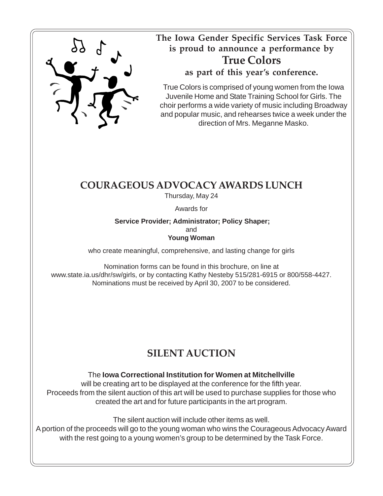

**The Iowa Gender Specific Services Task Force is proud to announce a performance by True Colors as part of this year's conference.**

True Colors is comprised of young women from the Iowa Juvenile Home and State Training School for Girls. The choir performs a wide variety of music including Broadway and popular music, and rehearses twice a week under the direction of Mrs. Meganne Masko.

# **COURAGEOUS ADVOCACY AWARDS LUNCH**

Thursday, May 24

Awards for

 **Service Provider; Administrator; Policy Shaper;** and **Young Woman**

who create meaningful, comprehensive, and lasting change for girls

Nomination forms can be found in this brochure, on line at www.state.ia.us/dhr/sw/girls, or by contacting Kathy Nesteby 515/281-6915 or 800/558-4427. Nominations must be received by April 30, 2007 to be considered.

# **SILENT AUCTION**

# The **Iowa Correctional Institution for Women at Mitchellville**

will be creating art to be displayed at the conference for the fifth year. Proceeds from the silent auction of this art will be used to purchase supplies for those who created the art and for future participants in the art program.

The silent auction will include other items as well.

A portion of the proceeds will go to the young woman who wins the Courageous Advocacy Award with the rest going to a young women's group to be determined by the Task Force.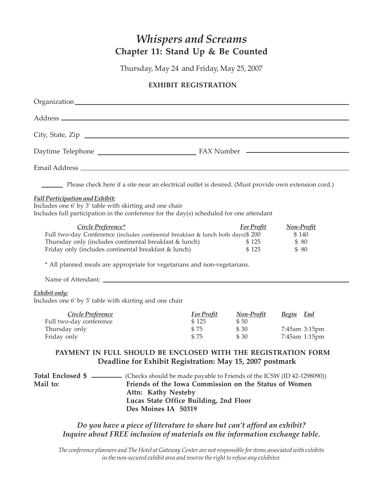# *Whispers and Screams* **Chapter 11: Stand Up & Be Counted**

Thursday, May 24 and Friday, May 25, 2007

### **EXHIBIT REGISTRATION**

| City, State, Zip                                                                                                                                                                                                                                                                                     |                                            |                                              |                                            |
|------------------------------------------------------------------------------------------------------------------------------------------------------------------------------------------------------------------------------------------------------------------------------------------------------|--------------------------------------------|----------------------------------------------|--------------------------------------------|
|                                                                                                                                                                                                                                                                                                      |                                            |                                              |                                            |
|                                                                                                                                                                                                                                                                                                      |                                            |                                              |                                            |
| Please check here if a site near an electrical outlet is desired. (Must provide own extension cord.)                                                                                                                                                                                                 |                                            |                                              |                                            |
| <b>Full Participation and Exhibit:</b><br>Includes one 6' by 3' table with skirting and one chair<br>Includes full participation in the conference for the day(s) scheduled for one attendant                                                                                                        |                                            |                                              |                                            |
| Circle Preference*<br>Full two-day Conference (includes continental breakfast & lunch both days) \$200<br>Thursday only (includes continental breakfast & lunch)<br>Friday only (includes continental breakfast & lunch)<br>* All planned meals are appropriate for vegetarians and non-vegetarians. |                                            | <b>For Profit</b><br>\$125<br>\$125          | <b>Non-Profit</b><br>\$140<br>\$80<br>\$80 |
| Exhibit only:<br>Includes one 6' by 3' table with skirting and one chair                                                                                                                                                                                                                             |                                            |                                              |                                            |
| Circle Preference<br>Full two-day conference<br>Thursday only<br>Friday only                                                                                                                                                                                                                         | <b>For Profit</b><br>\$125<br>\$75<br>\$75 | Non-Profit Begin End<br>\$50<br>\$30<br>\$30 | 7:45am 3:15pm<br>7:45am 1:15pm             |
| PAYMENT IN FULL SHOULD BE ENCLOSED WITH THE REGISTRATION FORM<br>Deadline for Exhibit Registration: May 15, 2007 postmark                                                                                                                                                                            |                                            |                                              |                                            |
| Total Enclosed \$ _________ (Checks should be made payable to Friends of the ICSW (ID 42-1298090))<br>Friends of the Iowa Commission on the Status of Women<br>Mail to:<br>Attn: Kathy Nesteby<br>Lucas State Office Building, 2nd Floor<br>Des Moines IA 50319                                      |                                            |                                              |                                            |

# *Do you have a piece of literature to share but can't afford an exhibit? Inquire about FREE inclusion of materials on the information exchange table.*

*The conference planners and The Hotel at Gateway Center are not responsible for items associated with exhibits in the non-secured exhibit area and reserve the right to refuse any exhibitor.*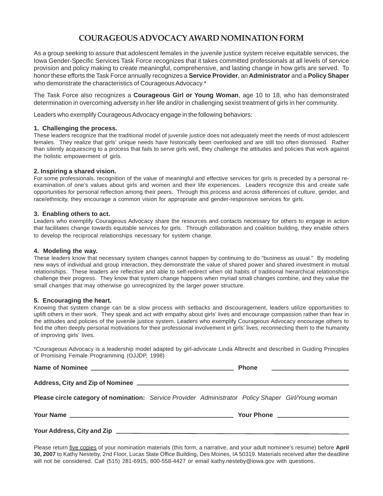## **COURAGEOUS ADVOCACY AWARD NOMINATION FORM**

As a group seeking to assure that adolescent females in the juvenile justice system receive equitable services, the Iowa Gender-Specific Services Task Force recognizes that it takes committed professionals at all levels of service provision and policy making to create meaningful, comprehensive, and lasting change in how girls are served. To honor these efforts the Task Force annually recognizes a **Service Provider**, an **Administrator** and a **Policy Shaper** who demonstrate the characteristics of Courageous Advocacy.\*

The Task Force also recognizes a **Courageous Girl or Young Woman**, age 10 to 18, who has demonstrated determination in overcoming adversity in her life and/or in challenging sexist treatment of girls in her community.

Leaders who exemplify Courageous Advocacy engage in the following behaviors:

#### **1. Challenging the process.**

These leaders recognize that the traditional model of juvenile justice does not adequately meet the needs of most adolescent females. They realize that girls' unique needs have historically been overlooked and are still too often dismissed. Rather than silently acquiescing to a process that fails to serve girls well, they challenge the attitudes and policies that work against the holistic empowerment of girls.

#### **2. Inspiring a shared vision.**

For some professionals, recognition of the value of meaningful and effective services for girls is preceded by a personal reexamination of one's values about girls and women and their life experiences. Leaders recognize this and create safe opportunities for personal reflection among their peers. Through this process and across differences of culture, gender, and race/ethnicity, they encourage a common vision for appropriate and gender-responsive services for girls.

#### **3. Enabling others to act.**

Leaders who exemplify Courageous Advocacy share the resources and contacts necessary for others to engage in action that facilitates change towards equitable services for girls. Through collaboration and coalition building, they enable others to develop the reciprocal relationships necessary for system change.

#### **4. Modeling the way.**

These leaders know that necessary system changes cannot happen by continuing to do "business as usual." By modeling new ways of individual and group interaction, they demonstrate the value of shared power and shared investment in mutual relationships. These leaders are reflective and able to self-redirect when old habits of traditional hierarchical relationships challenge their progress. They know that system change happens when myriad small changes combine, and they value the small changes that may otherwise go unrecognized by the larger power structure.

#### **5. Encouraging the heart.**

Knowing that system change can be a slow process with setbacks and discouragement, leaders utilize opportunities to uplift others in their work. They speak and act with empathy about girls' lives and encourage compassion rather than fear in the attitudes and policies of the juvenile justice system. Leaders who exemplify Courageous Advocacy encourage others to find the often deeply personal motivations for their professional involvement in girls' lives, reconnecting them to the humanity of improving girls' lives.

\*Courageous Advocacy is a leadership model adapted by girl-advocate Linda Albrecht and described in Guiding Principles of Promising Female Programming (OJJDP, 1998)

|  | Name of Nominee |
|--|-----------------|
|  |                 |

**Name of Phone** 

| Please circle category of nomination: Service Provider Administrator Policy Shaper Girl/Young woman |  |  |
|-----------------------------------------------------------------------------------------------------|--|--|

#### **Your Address, City and Zip**

**Address, City and Zip of Nominee**

Please return five copies of your nomination materials (this form, a narrative, and your adult nominee's resume) before **April 30, 2007** to Kathy Nesteby, 2nd Floor, Lucas State Office Building, Des Moines, IA 50319. Materials received after the deadline will not be considered. Call (515) 281-6915, 800-558-4427 or email kathy.nesteby@iowa.gov with questions.